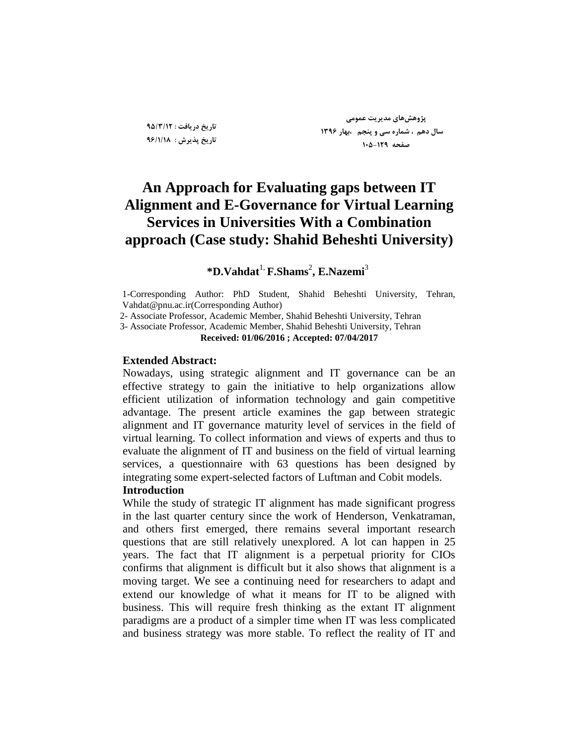**تارید زریافت : 95/3/12 تارید پذیزش : 96/1/18**

**پژيَصَای مسیزیت عمًمی سال زَم ، ضمارٌ سی ي پىجم ،تُار 1396 صفحٍ 105-129**

# **An Approach for Evaluating gaps between IT Alignment and E-Governance for Virtual Learning Services in Universities With a Combination approach (Case study: Shahid Beheshti University)**

## **\*D.Vahdat**1, **F.Shams**<sup>2</sup> **, E.Nazemi**<sup>3</sup>

1-Corresponding Author: PhD Student, Shahid Beheshti University, Tehran, [Vahdat@pnu.ac.ir\(](mailto:Vahdat@pnu.ac.ir)Corresponding Author)

2- Associate Professor, Academic Member, Shahid Beheshti University, Tehran

3- Associate Professor, Academic Member, Shahid Beheshti University, Tehran

#### **Received: 01/06/2016 ; Accepted: 07/04/2017**

### **Extended Abstract:**

Nowadays, using strategic alignment and IT governance can be an effective strategy to gain the initiative to help organizations allow efficient utilization of information technology and gain competitive advantage. The present article examines the gap between strategic alignment and IT governance maturity level of services in the field of virtual learning. To collect information and views of experts and thus to evaluate the alignment of IT and business on the field of virtual learning services, a questionnaire with 63 questions has been designed by integrating some expert-selected factors of Luftman and Cobit models.

### **Introduction**

While the study of strategic IT alignment has made significant progress in the last quarter century since the work of Henderson, Venkatraman, and others first emerged, there remains several important research questions that are still relatively unexplored. A lot can happen in 25 years. The fact that IT alignment is a perpetual priority for CIOs confirms that alignment is difficult but it also shows that alignment is a moving target. We see a continuing need for researchers to adapt and extend our knowledge of what it means for IT to be aligned with business. This will require fresh thinking as the extant IT alignment paradigms are a product of a simpler time when IT was less complicated and business strategy was more stable. To reflect the reality of IT and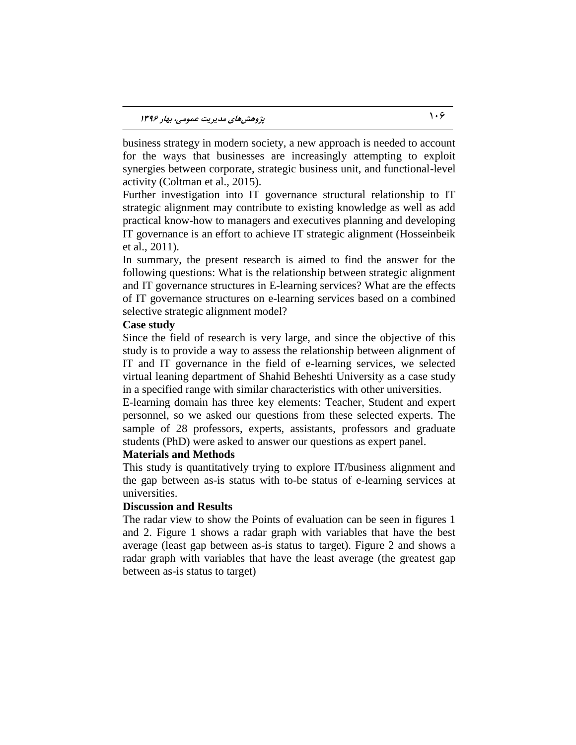business strategy in modern society, a new approach is needed to account for the ways that businesses are increasingly attempting to exploit synergies between corporate, strategic business unit, and functional-level activity (Coltman et al., 2015).

Further investigation into IT governance structural relationship to IT strategic alignment may contribute to existing knowledge as well as add practical know-how to managers and executives planning and developing IT governance is an effort to achieve IT strategic alignment (Hosseinbeik et al., 2011).

In summary, the present research is aimed to find the answer for the following questions: What is the relationship between strategic alignment and IT governance structures in E-learning services? What are the effects of IT governance structures on e-learning services based on a combined selective strategic alignment model?

### **Case study**

Since the field of research is very large, and since the objective of this study is to provide a way to assess the relationship between alignment of IT and IT governance in the field of e-learning services, we selected virtual leaning department of Shahid Beheshti University as a case study in a specified range with similar characteristics with other universities.

E-learning domain has three key elements: Teacher, Student and expert personnel, so we asked our questions from these selected experts. The sample of 28 professors, experts, assistants, professors and graduate students (PhD) were asked to answer our questions as expert panel.

### **Materials and Methods**

This study is quantitatively trying to explore IT/business alignment and the gap between as-is status with to-be status of e-learning services at universities.

### **Discussion and Results**

The radar view to show the Points of evaluation can be seen in figures 1 and 2. Figure 1 shows a radar graph with variables that have the best average (least gap between as-is status to target). Figure 2 and shows a radar graph with variables that have the least average (the greatest gap between as-is status to target)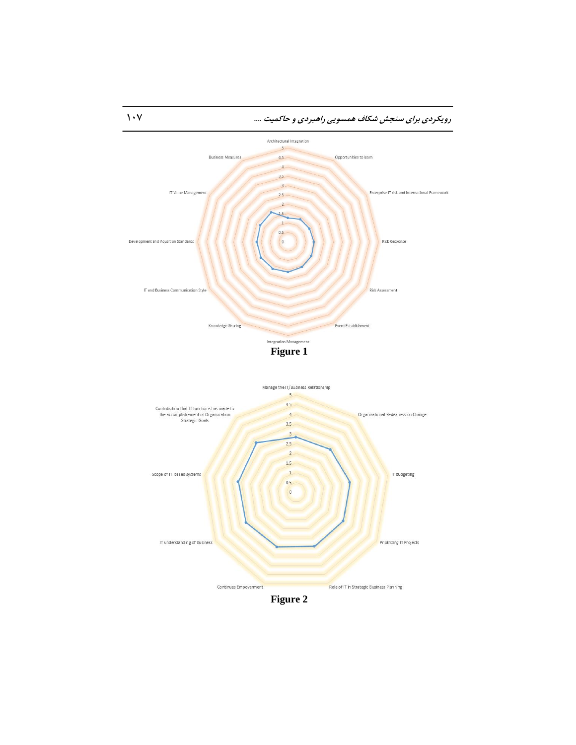

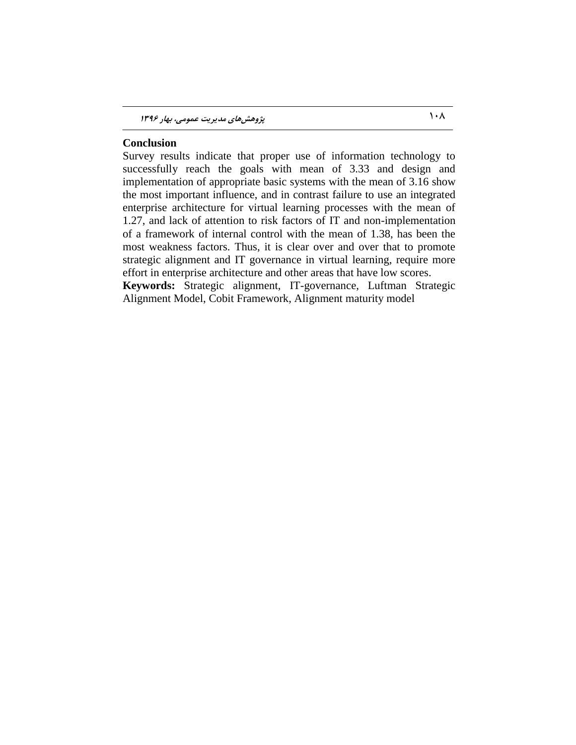### **Conclusion**

Survey results indicate that proper use of information technology to successfully reach the goals with mean of 3.33 and design and implementation of appropriate basic systems with the mean of 3.16 show the most important influence, and in contrast failure to use an integrated enterprise architecture for virtual learning processes with the mean of 1.27, and lack of attention to risk factors of IT and non-implementation of a framework of internal control with the mean of 1.38, has been the most weakness factors. Thus, it is clear over and over that to promote strategic alignment and IT governance in virtual learning, require more effort in enterprise architecture and other areas that have low scores. **Keywords:** Strategic alignment, IT-governance, Luftman Strategic

Alignment Model, Cobit Framework, Alignment maturity model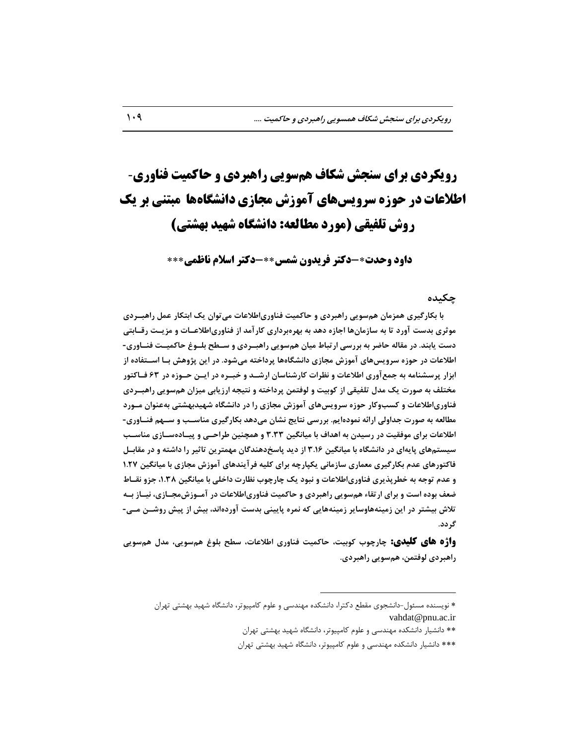# **رویکردی برای سنجش شکاف هنسویی راهبردی و حاکویت فناوری**- **اطالعات در حوزه سرویسهای آهوزش هجازی دانشگاهها هبتنی بر یک روش تلفیقی )هورد هطالعه: دانشگاه شهید بهشتی(**

**داود وحدت-دکتر فریدوى شوس-دکتر اسالم ناظوی**

### **چکیسٌ**

با بکارگیری همزمان همسویی راهبردی و حاکمیت فناوریاطلاعات می توان یک ابتکار عمل راهبــردی موثری بدست آورد تا به سازمانِها اجازه دهد به بهرهبرداری کارآمد از فناوریاطلاعــات و مزیــت رقــابتی **زست یاتىس. زر مقالٍ حاضز تٍ تزرسی ارتثاط میان َمسًیی راَثرززی ي سر ب تغرًا حاکمیرت فىرايری -** اطلاعات در حوزه سرویس&ای آموزش مجازی دانشگاهها پرداخته میشود. در این پژوهش بــا اســـتفاده از **اتشار پزسطىامٍ تٍ جمعآيری اطالعات ي وظزات کارضىاسان ارضرس ي ذثرزٌ زر ایره حرًسٌ زر 63 فراکتًر**  مختلف به صورت یک مدل تلفیقی از کوبیت و لوفتمن پرداخته و نتیجه ارزیابی میزان همسویی راهبــردی فناوریاطلاعات و کسبوکار حوزه سرویس**های آموزش مجازی را در دانشگاه شهیدبهشتی** بهعنوان مـورد مطالعه به صورت جداولی ارائه نمودهایم. بررسی نتایج نشان میدهد بکارگیری مناســب و ســهم فنــاوری-**اطالعات تزای مًفقیت زر رسیسن تٍ اَساف تا میاوگیه 3.33 ي َمچىیه طزاحری ي پیرازٌ سراسی مىاسرة سیستمَای پایٍای زر زاوطگاٌ تا میاوگیه 3.16 اس زیس پاسدزَىسگان مُمتزیه تاثیز را زاضتٍ ي زر مقاترل**  فاکتورهای عدم بکارگیری معماری سازمانی یکپارچه برای کلیه فرآیندهای آموزش مجازی با میانگین ۱.۲۷ **و عدم توجه به خطرپذیری فناوریاطلاعات و نبود یک چارچوب نظارت داخلی با میانگین ۱.۳۸، جزو نقــاط** ضعف بوده است و برای ارتقاء همسویی راهبردی و حاکمیت فناوریاطلاعات در آمــوزش،مجــازی، نیــاز بــه تلاش بیشتر در این زمینههاوسایر زمینههایی که نمره پایینی بدست آوردهاند، بیش از پیش روشــن مــی-**گززز.**

**واژه های کلیدی:** چارچوب کوبیت، حاکمیت فناوری اطلاعات، سطح بلوغ همسویی، مدل همسویی **راَثززی لًفتمه، َمسًیی راَثززی.**

 $\overline{a}$ 

<sup>\*</sup> نویسنده مسئول-دانشجوی مقطع دکترا، دانشکده مهندسی و علوم کامپیوتر، دانشگاه شهید بهشتی تهران [vahdat@pnu.ac.ir](mailto:vahdat@pnu.ac.ir)

<sup>\*\*</sup> دانشیار دانشکده مهندسی و علوم کامپیوتر، دانشگاه شهید بهشتی تهران

<sup>\*\*\*</sup> دانشیار دانشکده مهندسی و علوم کامپیوتر، دانشگاه شهید بهشتی تهران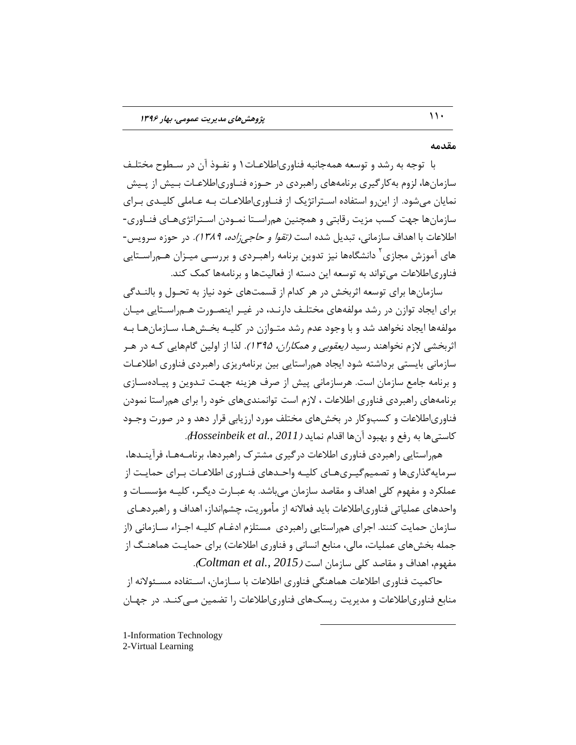### **مقسمٍ**

با توجه به رشد و توسعه همهجانبه فناوري|طلاعـات١ و نفـوذ آن در سـطوح مختلـف سازمانها، لزوم به کارگیری برنامههای راهبردی در حـوزه فنـاوریاطلاعـات بـیش از پـیش نمایان میشود. از این رو استفاده استراتژیک از فنـاوریاطلاعـات بـه عـاملی کلیـدی بـرای سازمانها جهت کسب مزیت رقابتی و همچنین همراسـتا نمـودن اسـتراتژیهـای فنـاوری-اطلاعات با اهداف سازمانی، تبدیل شده است *(تقوا و حاجی زاده، ۱۳۸۹).* در حوزه سرویس-های آموزش مجازی<sup>۲</sup> دانشگاهها نیز تدوین برنامه راهبـردی و بررسـی میـزان هـم٫راسـتایی فناوریاطلاعات میتواند به توسعه این دسته از فعالیتها و برنامهها کمک کند.

سازمانها برای توسعه اثربخش در هر کدام از قسمتهای خود نیاز به تحـول و بالنــدگی برای ایجاد توازن در رشد مولفههای مختلـف دارنـد، در غیـر اینصـورت هـم٫اسـتایی میـان مولفهها ایجاد نخواهد شد و با وجود عدم رشد متـوازن در کلیــه بخــش۵مـا، ســازمانِهـا بــه اثربخشی لازم نخواهند رسید *(یعقوبی و همکاران، ۱۳۹۵).* لذا از اولین گامهایی کـه در هـر سازمانی بایستی برداشته شود ایجاد همراستایی بین برنامهریزی راهبردی فناوری اطلاعـات و برنامه جامع سازمان است. هرسازمانی پیش از صرف هزینه جهت تـدوین و پیـادهسـازی برنامههای راهبردی فناوری اطلاعات ، لازم است توانمندیهای خود را برای همراستا نمودن فناوریاطلاعات و كسبوكار در بخشهای مختلف مورد ارزیابی قرار دهد و در صورت وجـود كاستی ها به رفع و بهبود آن ها اقدام نماید *(Hosseinbeik et al., 2011).* 

همراستایی راهبردی فناوری اطلاعات درگیری مشترک راهبردها، برنامـههـا، فرآینـدها، سرمایه گذاریها و تصمیم گیـریهـای کلیـه واحـدهای فنـاوری اطلاعـات بـرای حمایـت از عملکرد و مفهوم کلی اهداف و مقاصد سازمان میباشد. به عبـارت دیگـر، کلیـه مؤسسـات و واحدهای عملیاتی فناوریاطلاعات باید فعالانه از مأموریت، چشمانداز، اهداف و راهبردهـای سازمان حمایت کنند. اجرای همراستایی راهبردی ِ مستلزم ادغــام کلیــه اجــزاء ســازمانی (از جمله بخشهای عملیات، مالی، منابع انسانی و فناوری اطلاعات) برای حمایـت هماهنـگ از هفَْم، اّذاف ٍ هقبكذ ملی ػبصهبى اػت )*2015 .,al et Coltman*).

حاکمیت فناوری اطلاعات هماهنگی فناوری اطلاعات با سـازمان، اسـتفاده مسـئولانه از منابع فناوریاطلاعات و مدیریت ریسکـهای فناوری|طلاعات را تضمین مـی کنـد. در جهـان

 $\overline{a}$ 

1-Information Technology 2-Virtual Learning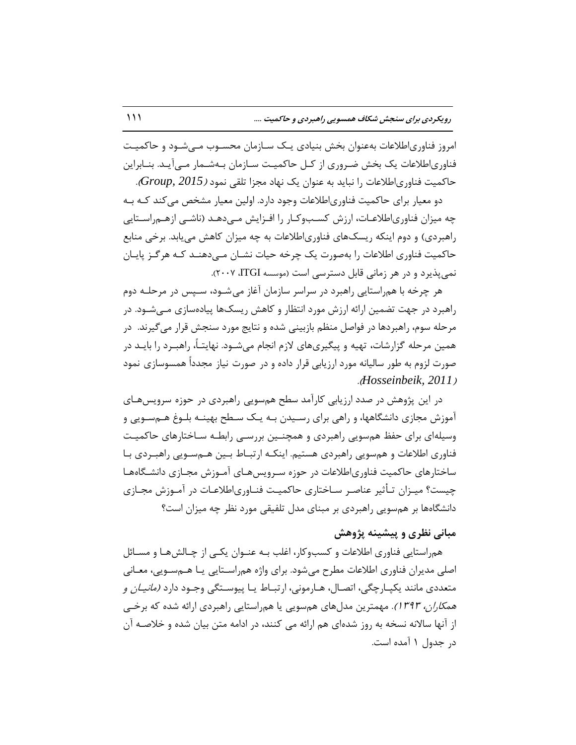امروز فناوریاطلاعات بهعنوان بخش بنیادی یـک سـازمان محسـوب مـی شـود و حاکمیـت فناوریاطلاعات یک بخش ضروری از کـل حاکمیـت سـازمان بـهشـمار مـیآیـد. بنـابراین حاکمیت فناوریاطلاعات را نباید به عنوان یک نهاد مجزا تلقی نمود *(Group, 2015).* 

دو معیار برای حاکمیت فناوریاطلاعات وجود دارد. اولین معیار مشخص می کند کـه بـه چه میزان فناوری|طلاعـات، ارزش کسـبوکـار را افـزایش مـی،دهـد (ناشـی ازهـم,راسـتایی راهبردی) و دوم اینکه ریسک@ای فناوریاطلاعات به چه میزان کاهش می یابد. برخی منابع حاكميت فناوری اطلاعات را بهصورت یک چرخه حیات نشـان مـی دهنـد كـه هرگـز پایـان نمیپذیرد و در هر زمانی قابل دسترسی است (موسسه ITGI، ۲۰۰۷).

هر چرخه با همراستایی راهبرد در سراسر سازمان آغاز میشـود، سـپس در مرحلـه دوم راهبرد در جهت تضمین ارائه ارزش مورد انتظار و کاهش ریسک@ پیادهسازی مـی شـود. در مرحله سوم، راهبردها در فواصل منظم بازبینی شده و نتایج مورد سنجش قرار می گیرند. در همین مرحله گزارشات، تهیه و پیگیریهای لازم انجام میشـود. نهایتـاً، راهبـرد را بایـد در صورت لزوم به طور سالیانه مورد ارزیابی قرار داده و در صورت نیاز مجدداً همسوسازی نمود .)*Hosseinbeik, 2011*(

در این پژوهش در صدد ارزیابی کارآمد سطح همسویی راهبردی در حوزه سرویسهـای آموزش مجازى دانشگاهها، و راهی براى رسـیدن بـه یـک سـطح بهینــه بلــوغ هــمســویی و وسیلهای برای حفظ همسویی راهبردی و همچنـین بررسـی رابطـه سـاختارهای حاکمیـت فناوری اطلاعات و همسویی راهبردی هستیم. اینکـه ارتبـاط بـین هـمسـویی راهبـردی بـا ساختارهای حاکمیت فناوریاطلاعات در حوزه سـرویس هـای آمـوزش مجـازی دانشـگاههـا چیست؟ میـزان تـأثیر عناصـر سـاختاری حاکمیـت فنـاوری|طلاعـات در آمـوزش مجـازی دانشگاهها بر هم سویی راهبردی بر مبنای مدل تلفیقی مورد نظر چه میزان است؟

## مبان*ی* نظری و پیشینه پژوهش

همراستایی فناوری اطلاعات و کسبوکار، اغلب بـه عنـوان یکـی از چـالشهـا و مسـائل اصلی مدیران فناوری اطلاعات مطرح میشود. برای واژه همراسـتایی یـا هـمسـویی، معـانی متعددی مانند یکپـارچگی، اتصـال، هـارمونی، ارتبـاط یـا پیوسـتگی وجـود دارد *(مانیـان و* ه*مکاران، 1۳۹۳)*. مهمترین مدلّهای همسویی یا همراستایی راهبردی ارائه شده که برخی از آنها سالانه نسخه به روز شدهای هم ارائه می کنند، در ادامه متن بیان شده و خلاصـه آن در جدول ١ آمده است.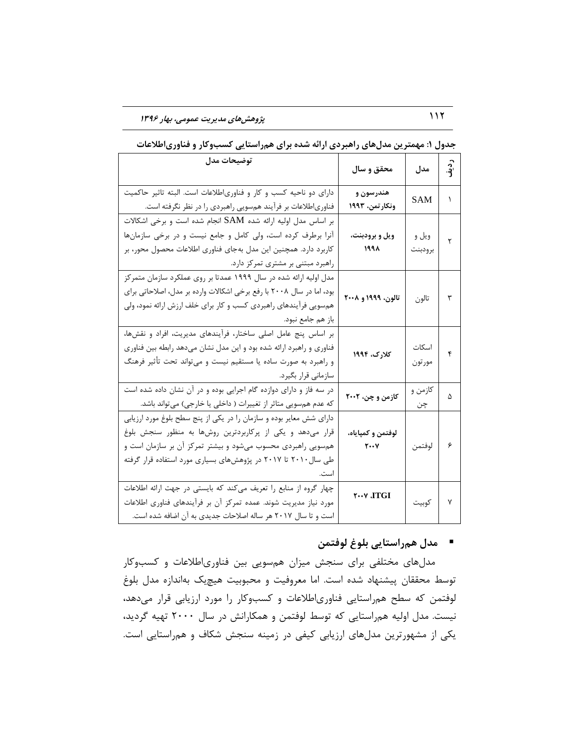112 **پژيَصَای مسیزیت عمًمی، تُار 1396**

| توضيحات مدل                                                                                                                                                                                                                                                       | محقق و سال                                               | مدل              | ردية. |
|-------------------------------------------------------------------------------------------------------------------------------------------------------------------------------------------------------------------------------------------------------------------|----------------------------------------------------------|------------------|-------|
| دارای دو ناحیه کسب و کار و فناوریاطلاعات است. البته تاثیر حاکمیت<br>فناوریاطلاعات بر فرآیند همسویی راهبردی را در نظر نگرفته است.                                                                                                                                  | هندرسون و<br>ونكار تمن، ۱۹۹۳                             | SAM              | ١     |
| بر اساس مدل اولیه ارائه شده SAM انجام شده است و برخی اشکالات<br>آنرا برطرف کرده است، ولی کامل و جامع نیست و در برخی سازمانها<br>کاربرد دارد. همچنین این مدل بهجای فناوری اطلاعات محصول محور، بر<br>راهبرد مبتنی بر مشتری تمرکز دارد.                              | ويل و برودبنت،<br>۱۹۹۸                                   | ويل و<br>برودبنت | ٢     |
| مدل اولیه ارائه شده در سال ۱۹۹۹ عمدتا بر روی عملکرد سازمان متمرکز<br>بود، اما در سال ۲۰۰۸ با رفع برخی اشکالات وارده بر مدل، اصلاحاتی برای<br>هم سویی فرآیندهای راهبردی کسب و کار برای خلف ارزش ارائه نمود، ولی<br>باز هم جامع نبود.                               | تالون، ۱۹۹۹ و ۲۰۰۸                                       | تالون            | ٣     |
| بر اساس پنج عامل اصلی ساختار، فرآیندهای مدیریت، افراد و نقشها،<br>فناوري و راهبرد ارائه شده بود و اين مدل نشان ميدهد رابطه بين فناوري<br>و راهبرد به صورت ساده یا مستقیم نیست و میتواند تحت تأثیر فرهنگ<br>سازمانی قرار بگیرد.                                    | کلارک، ۱۹۹۴                                              | اسكات<br>مورتون  | ۴     |
| در سه فاز و دارای دوازده گام اجرایی بوده و در آن نشان داده شده است<br>که عدم همسویی متاثر از تغییرات ( داخلی یا خارجی) میتواند باشد.                                                                                                                              | کازمن و چن، ۲۰۰۲                                         | کازمن و<br>چن    | ۵     |
| دارای شش معایر بوده و سازمان را در یکی از پنج سطح بلوغ مورد ارزیابی<br>قرار میدهد و یکی از پرکاربردترین روشها به منظور سنجش بلوغ<br>همسویی راهبردی محسوب میشود و بیشتر تمرکز آن بر سازمان است و<br>طی سال ۲۰۱۰ تا ۲۰۱۷ در پژوهشهای بسیاری مورد استفاده قرار گرفته | لوفتمن و كمپاياه،<br>$\mathbf{Y} \cdot \cdot \mathbf{Y}$ | لوفتمن           | ۶     |
| چهار گروه از منابع را تعریف میکند که بایستی در جهت ارائه اطلاعات<br>مورد نیاز مدیریت شوند. عمده تمرکز آن بر فرآیندهای فناوری اطلاعات<br>است و تا سال ۲۰۱۷ هر ساله اصلاحات جدیدی به آن اضافه شده است.                                                              | <b>T…V JTGI</b>                                          | كوبيت            | Y     |

جدول ۱: مهمترین مدلهای راهبردی ارائه شده برای همراستایی کسبوکار و فناوریاطلاعات

## ■ مدل همراستایی بلوغ لوفتمن

مدلّهای مختلفی برای سنجش میزان همسویی بین فناوریاطلاعات و کسبوکار توسط محققان پیشنهاد شده است. اما معروفیت و محبوبیت هیچیک بهاندازه مدل بلوغ لوفتمن که سطح همراستایی فناوریاطلاعات و کسبوکار را مورد ارزیابی قرار میدهد، نیست. مدل اولیه همراستایی که توسط لوفتمن و همکارانش در سال ۲۰۰۰ تهیه گردید، یکی از مشهورترین مدلهای ارزیابی کیفی در زمینه سنجش شکاف و همراستایی است.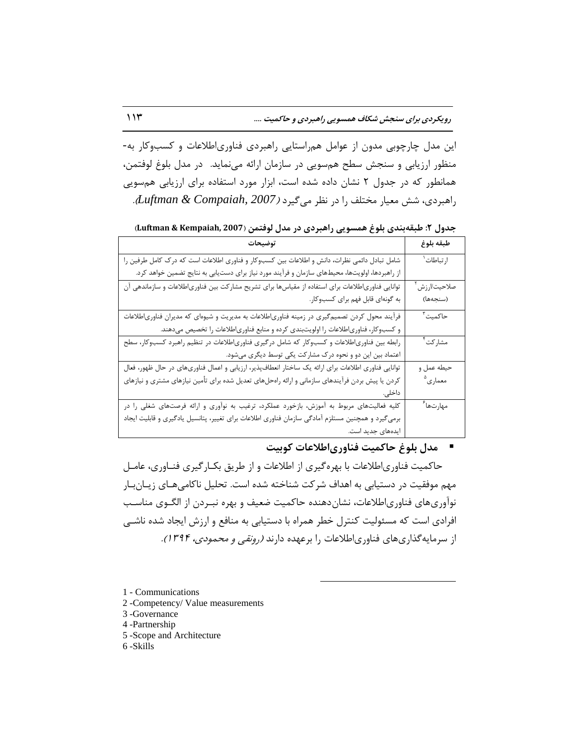این مدل چارچوبی مدون از عوامل همراستایی راهبردی فناوریاطلاعات و کسبوکار به-منظور ارزیابی و سنجش سطح هم سویی در سازمان ارائه می نماید. در مدل بلوغ لوفتمن، همانطور که در جدول ۲ نشان داده شده است، ابزار مورد استفاده برای ارزیابی همسویی ساّجشدی، ؿؾ هؿیبس هختل سا دس ًػش هیگیشد )*2007 ,Compaiah & Luftman*).

جدول ٢: طبقهبندی بلوغ همسویی راهبردی در مدل لوفتمن (Luftman & Kempaiah, 2007)

| توضيحات                                                                                             | طبقه بلوغ                |
|-----------------------------------------------------------------------------------------------------|--------------------------|
| شامل تبادل دائمی نظرات، دانش و اطلاعات بین کسبوکار و فناوری اطلاعات است که درک کامل طرفین را        | ارتباطات <sup>۱</sup>    |
| از راهبردها، اولویتها، محیطهای سازمان و فرآیند مورد نیاز برای دستیابی به نتایج تضمین خواهد کرد.     |                          |
| توانایی فناوری طلاعات برای استفاده از مقیاسها برای تشریح مشارکت بین فناوری طلاعات و سازماندهی آن    | صلاحيت/ارزش <sup>۲</sup> |
| به گونهای قابل فهم برای کسبوکار.                                                                    | (سنجەھا)                 |
| فرآیند محول کردن تصمیمگیری در زمینه فناوریاطلاعات به مدیریت و شیوهای که مدیران فناوریاطلاعات        | حاكميت <sup>۳</sup>      |
| و کسبوکار، فناوریاطلاعات را اولویتبندی کرده و منابع فناوریاطلاعات را تخصیص میدهند.                  |                          |
| رابطه بین فناوریاطلاعات و کسبوکار که شامل درگیری فناوریاطلاعات در تنظیم راهبرد کسبوکار، سطح         | مشاركت <sup>٢</sup>      |
| اعتماد بین این دو و نحوه درک مشارکت یکی توسط دیگری میشود.                                           |                          |
| توانایی فناوری اطلاعات برای ارائه یک ساختار انعطافپذیر، ارزیابی و اعمال فناوریهای در حال ظهور، فعال | حيطه عمل و               |
| کردن یا پیش بردن فرآیندهای سازمانی و ارائه راهحلهای تعدیل شده برای تأمین نیازهای مشتری و نیازهای    | معماري <sup>۵</sup>      |
| داخلی.                                                                                              |                          |
| کلیه فعالیتهای مربوط به آموزش، بازخورد عملکرد، ترغیب به نوآوری و ارائه فرصتهای شغلی را در           | مهارتها <sup>۶</sup>     |
| برمیگیرد و همچنین مستلزم آمادگی سازمان فناوری اطلاعات برای تغییر، پتانسیل یادگیری و قابلیت ایجاد    |                          |
| ایدەھای جدید است.                                                                                   |                          |

### ■ مدل بلوغ حاکمیت فناوریاطلاعات کوبیت

حاکمیت فناوریاطلاعات با بهره گیری از اطلاعات و از طریق بکـار گیری فنـاوری، عامـل مهم موفقیت در دستیابی به اهداف شرکت شناخته شده است. تحلیل ناکامی هـای زیــان.بـار نوآوریهای فناوریاطلاعات، نشان دهنده حاکمیت ضعیف و بهره نبـردن از الگـوی مناسـب افرادی است که مسئولیت کنترل خطر همراه با دستیابی به منافع و ارزش ایجاد شده ناشبی از سرمایه گذاریهای فناوریاطلاعات را برعهده دارند *(رونقی و محمودی، ۱۳۹۴).* 

 $\overline{a}$ 

1 - Communications

- 2 -Competency/ Value measurements
- 3 -Governance
- 4 -Partnership
- 5 -Scope and Architecture
- 6 -Skills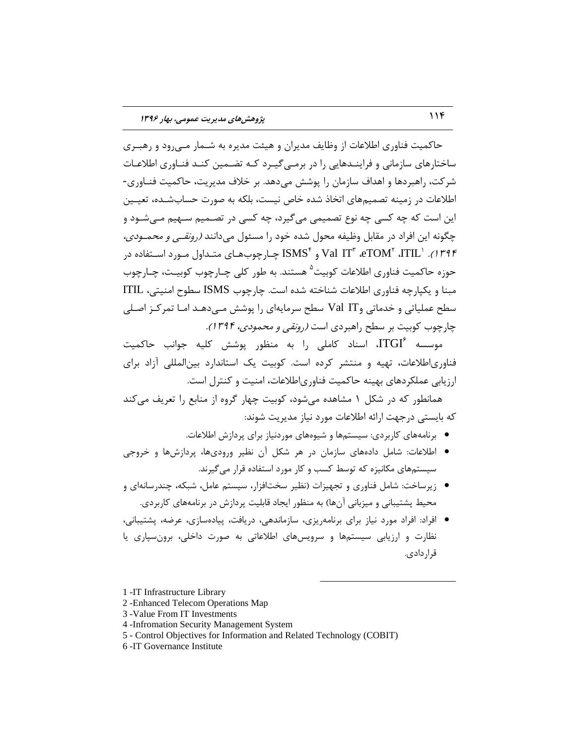حاکمیت فناوری اطلاعات از وظایف مدیران و هیئت مدیره به شــمار مــی ود و رهبــری ساختارهای سازمانی و فراینــدهایی را در برمــی گیــرد کــه تضــمین کنــد فنــاوری اطلاعــات شركت، راهبردها و اهداف سازمان را پوشش می دهد. بر خلاف مدیریت، حاكمیت فنـاوری-اطلاعات در زمینه تصمیمِهای اتخاذ شده خاص نیست، بلکه به صورت حسابشـده، تعیـین این است که چِه کسی چِه نوع تصمیمی میگیرد، چِه کسی در تصـمیم سـهیم مــ شـود و چگونه این افراد در مقابل وظیفه محول شده خود را مسئول میدانند *(رونقـی و محمـودی،* ۱۳۹۴). 'Val IT ّ æTOM و "ISMS چـارچوبهـای متـداول مـورد اسـتفاده در حوزه حاکمیت فناوری اطلاعات کوبیت<sup>۵</sup> هستند. به طور کلی چـارچوب کوبیـت، چـارچوب مبنا و یکیارچه فناوری اطلاعات شناخته شده است. چارچوب ISMS سطوح امنیتی، ITIL سطح عملیاتی و خدماتی وVal IT سطح سرمایهای را پوشش مـی دهـد امـا تمرکـز اصـلی چارچوب کوبیت بر سطح راهبردی است *(رونقی و محمودی، 1۳۹۴).* 

موسسه  $\mathrm{ITGI}^\varepsilon$ ، اسناد کاملی را به منظور پوشش کلیه جوانب حاکمیت فناوریاطلاعات، تهیه و منتشر کرده است. کوبیت یک استاندارد بینالمللی آزاد برای ارزیابی عملکردهای بهینه حاکمیت فناوریاطلاعات، امنیت و کنترل است.

همانطور که در شکل ۱ مشاهده می شود، کوبیت چهار گروه از منابع را تعریف میکند که بایستی درجهت ارائه اطلاعات مورد نیاز مدیریت شوند:

• برنامههای کاربردی: سیستمها و شیوههای موردنیاز برای پردازش اطلاعات.

 $\overline{a}$ 

- اطلاعات: شامل دادههای سازمان در هر شکل آن نظیر ورودیها، پردازشها و خروجی سیستمهای مکانیزه که توسط کسب و کار مورد استفاده قرار می گیرند.
- زیرساخت: شامل فناوری و تجهیزات (نظیر سختافزار، سیستم عامل، شبکه، چندرسانهای و محیط پشتیبانی و میزبانی آنها) به منظور ایجاد قابلیت پردازش در برنامههای کاربردی.
- افراد: افراد مورد نیاز برای برنامهریزی، سازماندهی، دریافت، پیادهسازی، عرضه، پشتیبانی، نظارت و ارزیابی سیستمها و سرویسهای اطلاعاتی به صورت داخلی، برونسپاری یا قرار دادی.

<sup>1</sup> -IT Infrastructure Library

<sup>2</sup> -Enhanced Telecom Operations Map

<sup>3</sup> -Value From IT Investments

<sup>4</sup> -Infromation Security Management System

<sup>5</sup> - Control Objectives for Information and Related Technology (COBIT)

<sup>6</sup> -IT Governance Institute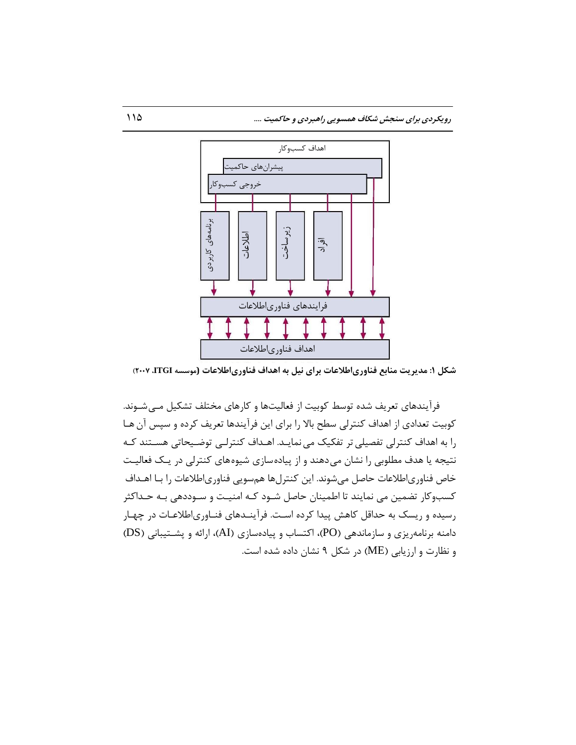

**ضکل :1 مسیزیت مىاتع فىايریاطالعات تزای ویل تٍ اَساف فىايریاطالعات (مًسسٍ ITGI، 2007)**

فرآیندهای تعریف شده توسط کوبیت از فعالیتها و کارهای مختلف تشکیل مـی شـوند. كوبیت تعدادی از اهداف كنترلی سطح بالا را برای این فرآیندها تعریف كرده و سپس آن هـا را به اهداف کنترلی تفصیلی تر تفکیک می نمایـد. اهـداف کنترلـی توضـیحاتی هسـتند کـه نتیجه یا هدف مطلوبی را نشان میدهند و از پیادهسازی شیوههای کنترلی در یک فعالیت خاص فناوریاطلاعات حاصل میشوند. این كنترلها همسویی فناوریاطلاعات را بـا اهـداف کسبوکار تضمین می نمایند تا اطمینان حاصل شـود کـه امنیـت و سـوددهی بـه حـداکثر رسیده و ریسک به حداقل کاهش پیدا کرده اسـت. فرآینـدهای فنـاوریاطلاعـات در چهـار دامنه برنامهریزی و سازماندهی (PO)، اکتساب و پیادهسازی (AI)، ارائه و پشتیبانی (DS) و نظارت و ارزیابی (ME) در شکل ۹ نشان داده شده است.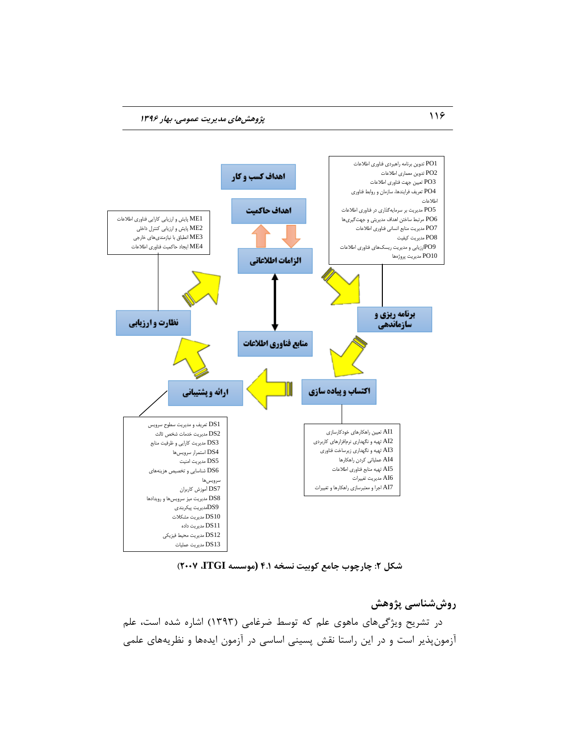

**ضکل :2 چارچًب جامع کًتیت وسرٍ 4.1 (مًسسٍ ITGI، 2007)**

**ريشضىاسی پژيَص** در تشریح ویژگیهای ماهوی علم که توسط ضرغامی (۱۳۹۳) اشاره شده است، علم آزمون پذیر است و در این راستا نقش پسینی اساسی در آزمون ایدهها و نظریههای علمی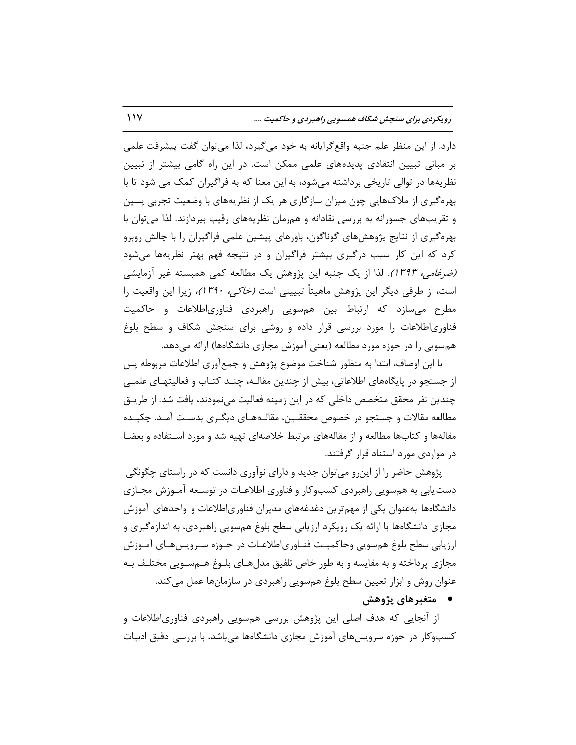دارد. از این منظر علم جنبه واقع گرایانه به خود می گیرد، لذا می توان گفت پیشرفت علمی بر مبانی تبیین انتقادی پدیدههای علمی ممکن است. در این راه گامی بیشتر از تبیین نظریهها در توالی تاریخی برداشته می شود، به این معنا که به فراگیران کمک می شود تا با بهرهگیری از ملاکـهایی چون میزان سازگاری هر یک از نظریههای با وضعیت تجربی پسین و تقریبهای جسورانه به بررسی نقادانه و همزمان نظریههای رقیب بپردازند. لذا می توان با بهرهگیری از نتایج پژوهشهای گوناگون، باورهای پیشین علمی فراگیران را با چالش روبرو کرد که این کار سبب درگیری بیشتر فراگیران و در نتیجه فهم بهتر نظریهها میشود (ضر*غامی، 1۳۹۳).* لذا از یک جنبه این پژوهش یک مطالعه کمی همبسته غیر آزمایشی است، از طرفی دیگر این پژوهش ماهیتاً تبیینی است *(خاکی، ۱۳۹۰)،* زیرا این واقعیت را مطرح میسازد که ارتباط بین همسویی راهبردی فناوریاطلاعات و حاکمیت فناوریاطلاعات را مورد بررسی قرار داده و روشی برای سنجش شکاف و سطح بلوغ همسویی را در حوزه مورد مطالعه (یعنی آموزش مجازی دانشگاهها) ارائه میدهد.

با این اوصاف، ابتدا بِه منظور شناخت موضوع پژوهش و جمعآوری اطلاعات مربوطه پس از جستجو در پایگاههای اطلاعاتی، بیش از چندین مقالـه، چنـد کتـاب و فعالیتهـای علمـی چندین نفر محقق متخصص داخلی که در این زمینه فعالیت مینمودند، یافت شد. از طریــق مطالعه مقالات و جستجو در خصوص محققـین، مقالـههـای دیگـری بدسـت آمـد. چکیـده مقالهها و کتابِها مطالعه و از مقالههای مرتبط خلاصهای تهیه شد و مورد اسـتفاده و بعضـا در مواردی مورد استناد قرار گرفتند.

پژوهش حاضر را از این رو می توان جدید و دارای نوآوری دانست که در راستای چگونگی دست یابی به همسویی راهبردی کسبوکار و فناوری اطلاعـات در توسـعه آمـوزش مجـازی دانشگاهها بهعنوان یکی از مهمترین دغدغههای مدیران فناوریاطلاعات و واحدهای آموزش مجازی دانشگاهها با ارائه یک رویکرد ارزیابی سطح بلوغ همسویی راهبردی، به اندازهگیری و ارزیابی سطح بلوغ همسویی وحاکمیـت فنـاوری|طلاعـات در حـوزه سـرویس۵هـای آمـوزش مجازی پرداخته و به مقایسه و به طور خاص تلفیق مدلّهای بلـوغ هـمسـویی مختلـف بـه عنوان روش و ابزار تعیین سطح بلوغ همسویی راهبردی در سازمانها عمل می کند.

**متغیرهای پژوهش** 

از انجایی که هدف اصلی این پژوهش بررسی همٖسویی راهبردی فناوریاطلاعات و کسبوکار در حوزه سرویس های آموزش مجازی دانشگاهها می باشد، با بررسی دقیق ادبیات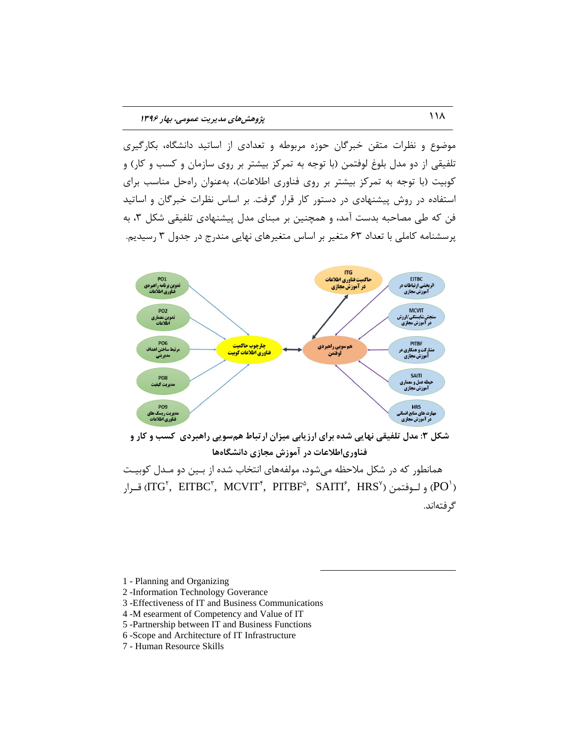موضوع و نظرات متقن خبرگان حوزه مربوطه و تعدادی از اساتید دانشگاه، بکارگیری تلفیقی از دو مدل بلوغ لوفتمن (با توجه به تمرکز بیشتر بر روی سازمان و کسب و کار) و کوبیت (با توجِه به تمرکز بیشتر بر روی فناوری اطلاعات)، بهعنوان راهحل مناسب برای استفاده در روش پیشنهادی در دستور کار قرار گرفت. بر اساس نظرات خبرگان و اساتید فن که طی مصاحبه بدست آمد، و همچنین بر مبنای مدل پیشنهادی تلفیقی شکل ۳، به پرسشنامه کاملی با تعداد ۶۳ متغیر بر اساس متغیرهای نهایی مندرج در جدول ۳ رسیدیم.



شکل **۳: مدل تلفیقی نهایی شده برای ارزیابی میزان ارتباط هم سویی راهبردی کسب و کار و** فناوریاطلاعات در آموزش مجازی دانشگاهها

همانطور که در شکل ملاحظه میشود، مولفههای انتخاب شده از بـین دو مـدل کوبیـت قـرار (ITG $^{\mathsf{r}},\;$  EITBC $^{\mathsf{r}},\;$  MCVIT $^{\mathsf{r}},\;$  PITBF $^{\mathsf{a}},\;$  SAITI $^{\mathsf{r}},\;$  HRS $^{\mathsf{v}})$ ) قـرار (PO $^{\mathsf{b}}$ گر فتهاند.

 $\overline{a}$ 

- 1 Planning and Organizing
- 2 -Information Technology Goverance
- 3 -Effectiveness of IT and Business Communications
- 4 -M esearment of Competency and Value of IT
- 5 -Partnership between IT and Business Functions
- 6 -Scope and Architecture of IT Infrastructure
- 7 Human Resource Skills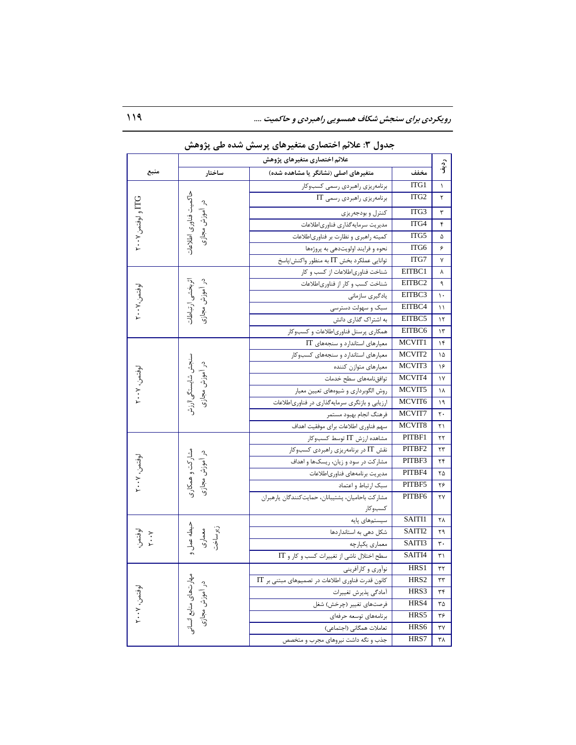رویکردی برای سنجش شکاف همسویی راهبردی و حاکمیت ....

|                         | علائم اختصارى متغيرهاى پژوهش              |                                                            |                          |                      |
|-------------------------|-------------------------------------------|------------------------------------------------------------|--------------------------|----------------------|
| منبع                    | ساختار                                    | متغیرهای اصلی (نشانگر یا مشاهده شده)                       | مخفف                     | ردني<br>آف           |
|                         |                                           | برنامەريزى راھبردى رسمى كسبوكار                            | ITG1                     | ١                    |
|                         | حاكميت فناورى اطلاعات                     | برنامەريزى راھبردى رسمى IT                                 | ITG <sub>2</sub>         | ٢                    |
| <b>ITG و لوفتمن۲۰۰۷</b> | در آموزش مجازی                            | كنترل و بودجهريزي                                          | ITG3                     | ٣                    |
|                         |                                           | مديريت سرمايه گذاري فناورياطلاعات                          | ITG4                     | ۴                    |
|                         |                                           | کمیته راهبری و نظارت بر فناوریاطلاعات                      | ITG5                     | ۵                    |
|                         |                                           | نحوه و فرايند اولويتدهي به پروژهها                         | ITG6                     | ۶                    |
|                         |                                           | توانایی عملکرد بخش IT به منظور واکنش/پاسخ                  | ITG7                     | ٧                    |
|                         |                                           | شناخت فناوري طلاعات از كسب و كار                           | EITBC1                   | ٨                    |
|                         |                                           | شناخت کسب و کار از فناوریاطلاعات                           | EITBC2                   | ٩                    |
|                         |                                           | یادگیری سازمانی                                            | EITBC3                   | $\mathcal{N}$        |
| لوفتمن،٧٠٠-٢            | در آموزش مجازی<br>اثربخشى ارتباطات        | سبک و سهولت دسترسی                                         | EITBC4                   | $\setminus$          |
|                         |                                           | به اشتراک گذاری دانش                                       | EITBC5                   | $\mathcal{N}$        |
|                         |                                           | همکاری پرسنل فناوریاطلاعات و کسبوکار                       | EITBC6                   | $\gamma$             |
|                         |                                           | معیارهای استاندارد و سنجههای IT                            | MCVIT1                   | ۱۴                   |
|                         |                                           | معیارهای استاندارد و سنجههای کسب وکار                      | MCVIT2                   | ۱۵                   |
|                         |                                           | معيارهاي متوازن كننده                                      | MCVIT3                   | ۱۶                   |
|                         | سنجش شايستگي اارزش<br>در آموزش مجازی      | توافق نامههاى سطح خدمات                                    | MCVIT4                   | $\gamma$             |
| لوفتمن. ۲۰۰۷            |                                           | روش الگوبرداري و شيوههاي تعيين معيار                       | MCVIT5                   | ۱۸                   |
|                         |                                           | ارزیابی و بازنگری سرمایهگذاری در فناوریاطلاعات             | MCVIT6                   | ۱۹                   |
|                         |                                           | فرهنگ انجام بهبود مستمر                                    | MCVIT7                   | $\mathbf{r}$ .       |
|                         | سهم فناوري اطلاعات براي موفقيت اهداف      | MCVIT8                                                     | ۲۱                       |                      |
|                         |                                           | مشاهده ارزش IT توسط كسبوكار                                | PITBF1                   | ٢٢                   |
|                         |                                           | نقش IT در برنامهریزی راهبردی کسبوکار                       | PITBF2                   | ۲۳                   |
| لوفتمن. ۲۰۰۷            | شاركت و همكارى<br>در آموزش مجازی          | مشارکت در سود و زیان، ریسکها و اهداف                       | PITBF3                   | ۲۴                   |
|                         |                                           | مديريت برنامههاى فناورىاطلاعات                             | PITBF4                   | ۲۵                   |
|                         |                                           | سبك ارتباط و اعتماد                                        | PITBF5                   | ۲۶                   |
|                         |                                           | مشاركت باحاميان، پشتيبانان، حمايت كنندگان يارهبران         | PITBF6                   | ٢٧                   |
|                         |                                           | كسبوكار                                                    | SAITI1                   |                      |
|                         |                                           | سیستمهای پایه                                              | SAITI2                   | ۲۸                   |
| لوفتمن<br>۲۰۰۲          | حیطه عمل<br>معماری<br>زیر ساخی            | شکل دهی به استانداردها                                     | SAITI3                   | ۲۹<br>$\mathbf{r}$ . |
|                         |                                           | معماري يكپارچه                                             | SAITI4                   |                      |
|                         |                                           | سطح اختلال ناشی از تغییرات کسب و کار و IT                  |                          | ۳۱                   |
|                         |                                           | نوأوري وكارأفريني                                          | HRS1<br>HRS <sub>2</sub> | ٣٢                   |
| لوفتمن. ۲۰۰۷            | مهارتـهای منابع انسانـو<br>در آموزش مجازی | $\text{IT}$ کانون قدرت فناوری اطلاعات در تصمیمهای مبتنی بر | HRS3                     | ٣٣                   |
|                         |                                           | أمادگي پذيرش تغييرات                                       | HRS4                     | ٣۴                   |
|                         |                                           | فرصتهای تغییر (چرخش) شغل                                   | HRS5                     | ۳۵                   |
|                         |                                           | برنامەھاي توسعه حرفەاي<br>تعاملات همگانی (اجتماعی)         | HRS6                     | ٣۶<br>٣٧             |
|                         |                                           | جذب و نگه داشت نیروهای مجرب و متخصص                        | HRS7                     | ٣٨                   |
|                         |                                           |                                                            |                          |                      |

جدول ۳: علائم اختصاری متغیرِهای پرسش شده طی پژوهش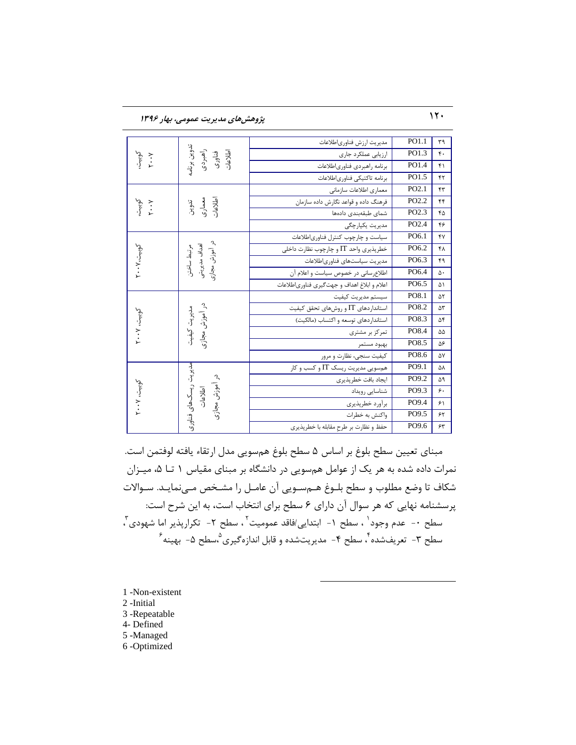120 **پژيَصَای مسیزیت عمًمی، تُار 1396**

| كوبيت.<br>۲۰۰۲ | تدوين برنامه<br>راهبردى<br>اطلاعات<br>فناوری        | مديريت ارزش فناورياطلاعات                    | PO1.1             | ٣٩               |
|----------------|-----------------------------------------------------|----------------------------------------------|-------------------|------------------|
|                |                                                     | ارزيابي عملكرد جارى                          | PO1.3             | $\mathfrak{r}$ . |
|                |                                                     | برنامه راهبردى فناورى اطلاعات                | PO1.4             | $f \cap$         |
|                |                                                     | برنامه تاكتيكي فناورىاطلاعات                 | PO1.5             | ۴٢               |
|                |                                                     | معمارى اطلاعات سازمانى                       | PO2.1             | $\tau$           |
|                | تدوين<br>اطلاعاري<br>اطلاعات                        | فرهنگ داده و قواعد نگارش داده سازمان         | PO <sub>2.2</sub> | f(f)             |
| كوبيت.<br>۲۰۰۲ |                                                     | شماى طبقهبندى دادهها                         | PO2.3             | ۴۵               |
|                |                                                     | مدیریت یکپارچگی                              | PO2.4             | ۴۶               |
|                |                                                     | سیاست و چارچوب کنترل فناوری اطلاعات          | PO6.1             | ۴٧               |
|                |                                                     | خطرپذیری واحد IT و چارچوب نظارت داخلی        | PO6.2             | ۴٨               |
| کوبیت، ۲۰۰۷    | در آموزش مجازی<br>اهداف مديريتى<br>مرتبط ساختن      | مدیریت سیاستهای فناوریاطلاعات                | PO6.3             | ۴۹               |
|                |                                                     | اطلاع سانی در خصوص سیاست و اعلام آن          | PO6.4             | ۵٠               |
|                |                                                     | اعلام و ابلاغ اهداف و جهت گیری فناوری طلاعات | PO6.5             | ۵١               |
|                | در آموزش مجازی<br>مديريت كيفيت                      | سيستم مديريت كيفيت                           | PO8.1             | ۵٢               |
|                |                                                     | استاندار دهای IT و روش های تحقق کیفیت        | PO8.2             | ۵٣               |
| کوبیت، ۲۰۰۷    |                                                     | استاندار دهای توسعه و اکتساب (مالکیت)        | PO8.3             | ۵۴               |
|                |                                                     | تمرکز بر مشتری                               | PO8.4             | ۵۵               |
|                |                                                     | بهبود مستمر                                  | PO8.5             | ۵۶               |
|                |                                                     | کیفیت سنجی، نظارت و مرور                     | PO8.6             | Δ٧               |
| کوبیت، ۲۰۰۷    | مدیریت ریسک های فناوری<br>در آموزش مجازی<br>اطلاعات | هم سویی مدیریت ریسک IT و کسب و کار           | PO9.1             | ۵٨               |
|                |                                                     | ايجاد بافت خطرپذيري                          | PO9.2             | Δ٩               |
|                |                                                     | شناسایی رویداد                               | PO9.3             | ۶.               |
|                |                                                     | برأورد خطرپذيري                              | PO9.4             | $\mathcal{F}$    |
|                |                                                     | واکنش به خطرات                               | PO9.5             | ۶۲               |
|                |                                                     | حفظ و نظارت بر طرح مقابله با خطرپذیری        | PO9.6             | ۶۳               |

مبنای تعیین سطح بلوغ بر اساس ۵ سطح بلوغ همسویی مدل ارتقاء یافته لوفتمن است. نمرات داده شده به هر یک از عوامل همسویی در دانشگاه بر مبنای مقیاس ١ تا ۵، میـزان شكاف تا وضع مطلوب و سطح بلـوغ هـمسـویی آن عامـل را مشـخص مـیiمایـد. سـوالات پرسشنامه نهایی که هر سوال آن دارای ۶ سطح برای انتخاب است، به این شرح است: سطح ۰- عدم وجود ٰ ، سطح ۱- ابتدایی/فاقد عمومیت <sup>۲</sup> ، سطح ۲- تکرارپذیر اما شهودی ؓ ، سطح ۳- تعریفشده ٔ، سطح ۴- مدیریتشده و قابل اندازهگیری ْ،سطح ۵- بهینه ٔ

 $\overline{a}$ 

1 -Non-existent

2 -Initial

3 -Repeatable

4- Defined

5 -Managed

6 -Optimized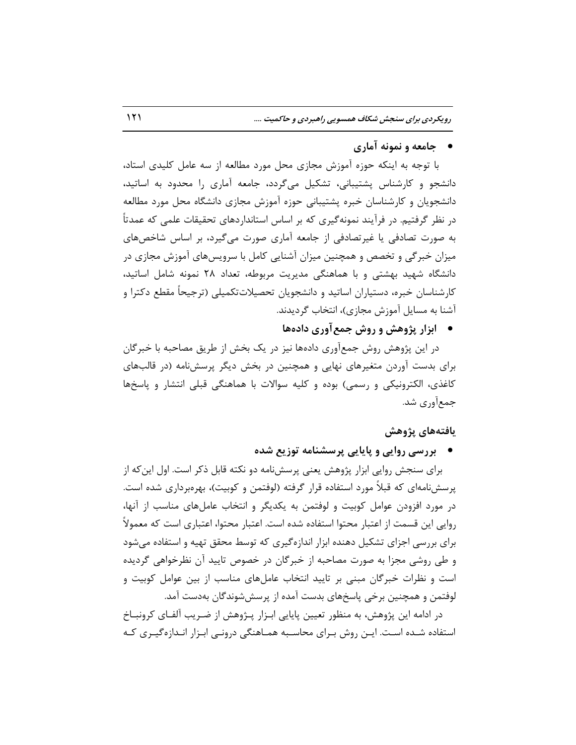**جامعٍ ي ومًوٍ آماری**

با توجِه به اینکه حوزه آموزش مجازی محل مورد مطالعه از سه عامل کلیدی استاد، دانشجو و کارشناس پشتیبانی، تشکیل میگردد، جامعه آماری را محدود به اساتید، دانشجویان و کارشناسان خبره پشتیبانی حوزه آموزش مجازی دانشگاه محل مورد مطالعه در نظر گرفتیم. در فرآیند نمونهگیری که بر اساس استانداردهای تحقیقات علمی که عمدتاً بِه صورت تصادفی یا غیرتصادفی از جامعه آماری صورت می گیرد، بر اساس شاخصهای میزان خبرگی و تخصص و همچنین میزان آشنایی کامل با سرویسهای آموزش مجازی در دانشگاه شهید بهشتی و با هماهنگی مدیریت مربوطه، تعداد ۲۸ نمونه شامل اساتید، کارشناسان خبره، دستیاران اساتید و دانشجویان تحصیلاتتکمیلی (ترجیحاً مقطع دکترا و آشنا به مسایل آموزش مجازی)، انتخاب گردیدند.

**• ابزار پژوهش و روش جمع آوری دادهها** 

در این پژوهش روش جمعآوری دادهها نیز در یک بخش از طریق مصاحبه با خبرگان برای بدست آوردن متغیرهای نهایی و همچنین در بخش دیگر پرسشنامه (در قالبهای کاغذی، الکترونیکی و رسمی) بوده و کلیه سوالات با هماهنگی قبلی انتشار و پاسخها جمع[ّوری شد.

**یافتٍَای پژيَص**

**تزرسی ريایی ي پایایی پزسطىامٍ تًسیع ضسٌ**

برای سنجش روایی ابزار پژوهش یعنی پرسشنامه دو نکته قابل ذکر است. اول این که از پرسش نامهای که قبلاً مورد استفاده قرار گرفته (لوفتمن و کوبیت)، بهرهبرداری شده است. در مورد افزودن عوامل کوبیت و لوفتمن به یکدیگر و انتخاب عاملهای مناسب از آنها، روایی این قسمت از اعتبار محتوا استفاده شده است. اعتبار محتوا، اعتباری است که معمولاً برای بررسی اجزای تشکیل دهنده ابزار اندازهگیری که توسط محقق تهیه و استفاده می شود و طی روشی مجزا به صورت مصاحبه از خبرگان در خصوص تایید آن نظرخواهی گردیده است و نظرات خبرگان مبنی بر تایید انتخاب عاملهای مناسب از بین عوامل کوبیت و لوفتمن و همچنین برخی پاسخهای بدست آمده از پرسش شوندگان بهدست آمد.

در ادامه این پژوهش، به منظور تعیین پایایی ابـزار پـژوهش از ضـریب آلفـای کرونبـاخ استفاده شـده اسـت. ایـن روش بـرای محاسـبه همـاهنگی درونـی ابـزار انـدازهگیـری کـه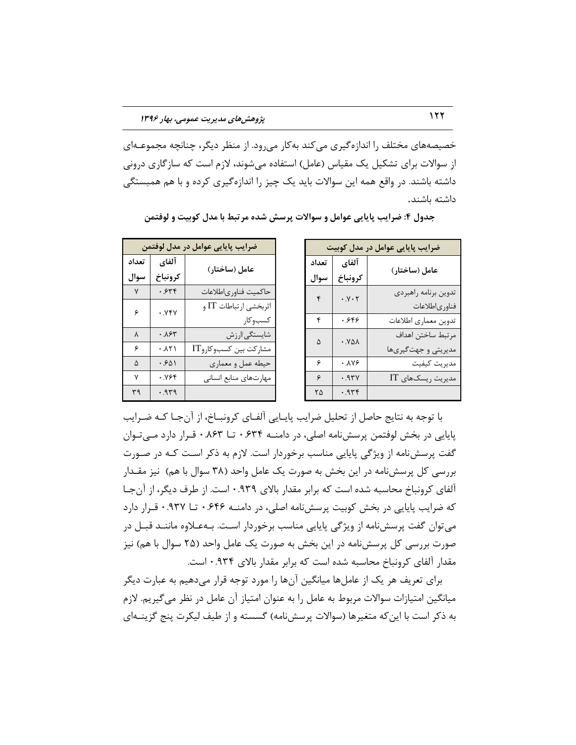خصیصههای مختلف را اندازه گیری می کند به کار می رود. از منظر دیگر، چنانچه مجموعـهای از سوالات برای تشکیل یک مقیاس (عامل) استفاده می شوند، لازم است که سازگاری درونی داشته باشند. در واقع همه این سوالات باید یک چیز را اندازهگیری کرده و با هم همبستگی داشته باشند.

| ضرایب پایایی عوامل در مدل کوبیت |                                 |                      |  |
|---------------------------------|---------------------------------|----------------------|--|
| تعداد                           | آلفاي                           | عامل (ساختار)        |  |
| سوال                            | كرونباخ                         |                      |  |
| ۴                               | $\cdot$ . $\vee$ $\cdot$ $\vee$ | تدوين برنامه راهبردي |  |
|                                 |                                 | فناورىاطلاعات        |  |
| ۴                               | .999                            | تدوين معماري اطلاعات |  |
| ۵                               | .981                            | مرتبط ساختن اهداف    |  |
|                                 |                                 | مدیریتی و جهتگیریها  |  |
| ۶                               | -<br>•.\Y۶                      | مديريت كيفيت         |  |
| ۶                               | .97Y                            | مدیریت ریسکهای IT    |  |
| ۲۵                              | .979                            |                      |  |

جدول ۴: ضرایب پایایی عوامل و سوالات پرسش شده مرتبط با مدل کوبیت و لوفتمن

| ضرایب پایایی عوامل در مدل لوفتمن |                      |                       |  |
|----------------------------------|----------------------|-----------------------|--|
| تعداد                            | آلفاي                | عامل (ساختار)         |  |
| سوال                             | كرونباخ              |                       |  |
| $\mathsf{v}$                     | .548                 | حاكميت فناورىاطلاعات  |  |
| ۶                                | . YFY                | اثربخشي ارتباطات IT و |  |
|                                  |                      | كسبوكار               |  |
| $\lambda$                        | ۰.۸۶۳                | شايستگى/ارزش          |  |
| ۶                                | $. \lambda \Upsilon$ | مشاركت بين كسبوكاروIT |  |
| ۵                                | .501                 | حيطه عمل و معماري     |  |
| ٧                                | ۰.۷۶۴                | مهارتهاى منابع انسانى |  |
| ٣٩                               | .979                 |                       |  |

با توجِه به نتایج حاصل از تحلیل ضرایب پایـایی آلفـای کرونبـاخ، از آنجـا کـه ضـرایب پاپایی در بخش لوفتمن پرسش نامه اصلی، در دامنــه ۶۳۴. تا ۸۶۳. • قـرار دارد مــی تـوان گفت پرسش نامه از ویژگی پایایی مناسب برخوردار است. لازم به ذکر اسـت کـه در صـورت بررسی كل پرسش نامه در این بخش به صورت یک عامل واحد (۳۸ سوال با هم) ِ نیز مقـدار آلفای کرونباخ محاسبه شده است که برابر مقدار بالای ۰.۹۳۹ است. از طرف دیگر، از آن جـا كه ضرایب پایایی در بخش كوبیت پرسش نامه اصلی، در دامنــه ۶۴۶ تـــا ۹۳۷ قــرار دارد می توان گفت پرسش نامه از ویژگی پایایی مناسب برخوردار است. بـهعـلاوه ماننـد قبـل در صورت بررسی كل پرسشنامه در این بخش به صورت یک عامل واحد (۲۵ سوال با هم) نیز مقدار آلفای کرونباخ محاسبه شده است که برابر مقدار بالای ۹۳۴.۰ است.

برای تعریف هر یک از عاملها میانگین آنها را مورد توجه قرار میدهیم به عبارت دیگر میانگین امتیازات سوالات مربوط به عامل را به عنوان امتیاز آن عامل در نظر میگیریم. لازم به ذکر است با این که متغیرها (سوالات پرسشنامه) گسسته و از طیف لیکرت پنج گزینـهای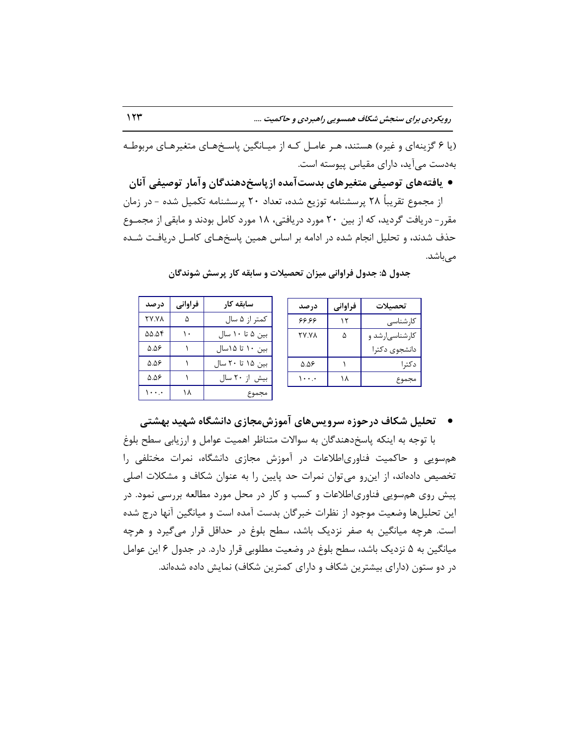(یا ۶ گزینهای و غیره) هستند، هـر عامـل کـه از میـانگین پاسـخهـای متغیرهـای مربوطـه بهدست می[ید، دارای مقیاس پیوسته است.

● یافتههای توصیفی متغیرِهای بدستآمده ازپاسخِدهندگان وآمار توصیفی آنان از مجموع تقریباً ۲۸ پرسشنامه توزیع شده، تعداد ۲۰ پرسشنامه تکمیل شده – در زمان مقرر- دریافت گردید، که از بین ۲۰ مورد دریافتی، ۱۸ مورد کامل بودند و مابقی از مجمـوع حذف شدند، و تحلیل انجام شده در ادامه بر اساس همین پاسخهـای کامـل دریافـت شـده میباشد.

|       | در صد        | فراواني | تحصىلات         |
|-------|--------------|---------|-----------------|
| كمتر  | 99.99        |         | كارشناسى        |
| بين ۵ | <b>TY.YA</b> | ۵       | کارشناسی ارشد و |
| بين · |              |         | دانشجوى دكترا   |
| بين ۵ | 5.58         |         | دکترا           |
| بيش   | . ۱          | ۱۸      | مجموع           |
|       |              |         |                 |

|  | جدول ۵: جدول فراوانی میزان تحصیلات و سابقه کار پرسش شوندگان |  |  |
|--|-------------------------------------------------------------|--|--|
|--|-------------------------------------------------------------|--|--|

**ساتقٍ کار فزاياوی زرصس** از ۵ سال اص | ۲۷.۷۸ ثاثا الحمل | نام 6۵.۵۴ ۱۰ تا ۱۵ اسال ۱ تا ۵.۵۶ ۱۵ تا ۲۰ سال 1 - ۵.۵۶ از ۲۰ سال ۱ ( ۵.۵۶ هجموع ( ۱۸ | ۱۰۰.۰

# **• تحلیل شکاف درحوزه سرویسهای آموزشمجازی دانشگاه شهید بهشتی**

با توجِه به اینکه پاسخدهندگان به سوالات متناظر اهمیت عوامل و ارزیابی سطح بلوغ هم سویی و حاکمیت فناوریاطلاعات در آموزش مجازی دانشگاه، نمرات مختلفی را تخصیص دادهاند، از این و می توان نمرات حد پایین را به عنوان شکاف و مشکلات اصلی پیش روی هم سویی فناوریاطلاعات و کسب و کار در محل مورد مطالعه بررسی نمود. در این تحلیلها وضعیت موجود از نظرات خبرگان بدست آمده است و میانگین آنها درج شده است. هرچِه میانگین به صفر نزدیک باشد، سطح بلوغ در حداقل قرار میگیرد و هرچِه میانگین به ۵ نزدیک باشد، سطح بلوغ در وضعیت مطلوبی قرار دارد. در جدول ۶ این عوامل در دو ستون (دارای بیشترین شکاف و دارای کمترین شکاف) نمایش داده شدهاند.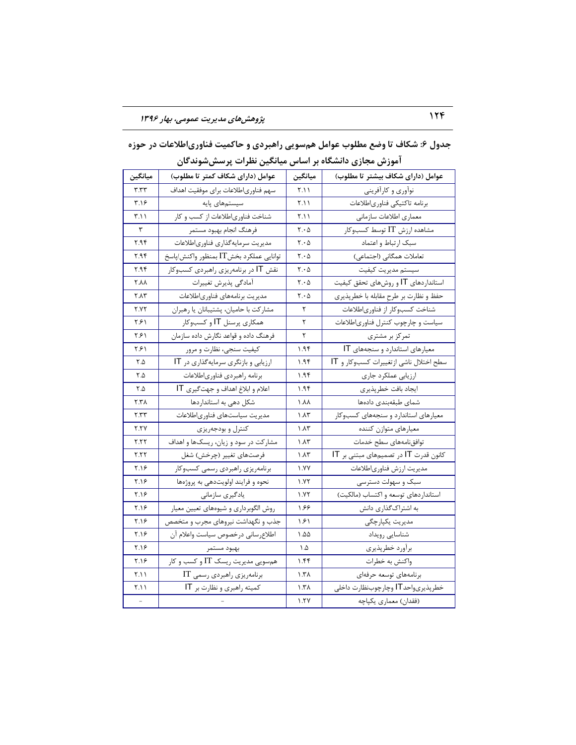| ميانگين     | عوامل (دارای شکاف کمتر تا مطلوب)       | ميانگين                       | عوامل (دارای شکاف بیشتر تا مطلوب)      |
|-------------|----------------------------------------|-------------------------------|----------------------------------------|
| ۳.۳۳        | سهم فناورىاطلاعات براى موفقيت اهداف    | ۲.۱۱                          | نوأوري و كارأفريني                     |
| ۳.۱۶        | سیستمهای پایه                          | ۲.۱۱                          | برنامه تاكتيكي فناورىاطلاعات           |
| ۲.۱۱        | شناخت فناوری اطلاعات از کسب و کار      | ۲.۱۱                          | معماري اطلاعات سازماني                 |
| ٣           | فرهنگ انجام بهبود مستمر                | $\mathsf{Y} \cdot \mathsf{Q}$ | مشاهده ارزش IT توسط کسبوکار            |
| ۲.۹۴        | مديريت سرمايه گذاري فناورياطلاعات      | $\mathsf{r}\cdot \mathsf{a}$  | سبک ارتباط و اعتماد                    |
| ۲.۹۴        | توانايي عملكرد بخشIT بمنظور واكنش/پاسخ | $Y \cdot \Delta$              | تعاملات همگانی (اجتماعی)               |
| ۲.۹۴        | نقش IT در برنامهریزی راهبردی کسبوکار   | $\mathbf{Y} \cdot \mathbf{Q}$ | سيستم مديريت كيفيت                     |
| <b>Y.AA</b> | أمادگي پذيرش تغييرات                   | $\mathsf{r}\cdot \mathsf{a}$  | استانداردهای IT و روشهای تحقق کیفیت    |
| <b>٢.٨٣</b> | مديريت برنامههاى فناورىاطلاعات         | $\mathsf{Y} \cdot \mathsf{Q}$ | حفظ و نظارت بر طرح مقابله با خطرپذیری  |
| ۲.۷۲        | مشاركت با حاميان، پشتيبانان يا رهبران  | ٢                             | شناخت كسبوكار از فناورىاطلاعات         |
| ۲۶۱         | همکاری پرسنل 1T و کسبوکار              | ٢                             | سیاست و چارچوب کنترل فناوری اطلاعات    |
| ۲۶۱         | فرهنگ داده و قواعد نگارش داده سازمان   | ٢                             | تمرکز بر مشتری                         |
| ۲۶۱         | کیفیت سنجی، نظارت و مرور               | ۱.۹۴                          | معیارهای استاندارد و سنجههای IT        |
| ۲.۵         | ارزیابی و بازنگری سرمایه گذاری در IT   | ۱.۹۴                          | سطح اختلال ناشي ازتغييرات كسبوكار و IT |
| ۲.۵         | برنامه راهبردى فناورىاطلاعات           | ۱.۹۴                          | ارزيابي عملكرد جارى                    |
| ۲.۵         | اعلام و ابلاغ اهداف و جهت گیری IT      | ۱.۹۴                          | ايجاد بافت خطرپذيري                    |
| ۲.۳۸        | شکل دهی به استانداردها                 | ۸۸. ۱                         | شماى طبقهبندى دادهها                   |
| ۲.۳۳        | مديريت سياستهاى فناورىاطلاعات          | ۱.۸۳                          | معیارهای استاندارد و سنجههای کسبوکار   |
| <b>7.TY</b> | كنترل و بودجهريزي                      | ۱.۸۳                          | معيارهاي متوازن كننده                  |
| ۲.۲۲        | مشارکت در سود و زیان، ریسکها و اهداف   | ۱.۸۳                          | توافق نامههاى سطح خدمات                |
| ۲.۲۲        | فرصتهای تغییر (چرخش) شغل               | ۱.۸۳                          | کانون قدرت IT در تصمیمهای مبتنی بر IT  |
| ۲.۱۶        | برنامهريزي راهبردي رسمي كسبوكار        | ۱.YY                          | مديريت ارزش فناورىاطلاعات              |
| ۲.۱۶        | نحوه و فرايند اولويتدهي به پروژهها     | ۱.۷۲                          | سبک و سهولت دسترسی                     |
| ۲.۱۶        | یادگیری سازمانی                        | ۱.۷۲                          | استانداردهای توسعه و اکتساب (مالکیت)   |
| ۲.۱۶        | روش الگوبرداري و شيوههاي تعيين معيار   | ۶۶ (                          | به اشتراکگذاری دانش                    |
| ۲.۱۶        | جذب و نگهداشت نیروهای مجرب و متخصص     | ۱۶۱                           | مدیریت یکپارچگی                        |
| ۲.۱۶        | اطلاع رساني درخصوص سياست واعلام آن     | ۵۵. ۱                         | شناسايي رويداد                         |
| ۲.۱۶        | بهبود مستمر                            | ۵. ۱                          | برأورد خطرپذيري                        |
| ۲.۱۶        | همسویی مدیریت ریسک IT و کسب و کار      | ۱.۴۴                          | واكنش به خطرات                         |
| ۲.۱۱        | برنامەريزى راھبردى رسمى IT             | ۱.۳۸                          | برنامههاى توسعه حرفهاى                 |
| ۲.۱۱        | کمیته راهبری و نظارت بر IT             | ۱.۳۸                          | خطرپذيريواحد IT وچارچوبنظارت داخلي     |
|             |                                        | ۱.۲۷                          | (فقدان) معماري يكپاچه                  |

جدول ۶: شکاف تا وضع مطلوب عوامل همسویی راهبردی و حاکمیت فناوریاطلاعات در حوزه آموزش مجازی دانشگاه بر اساس میانگین نظرات پرسششوندگان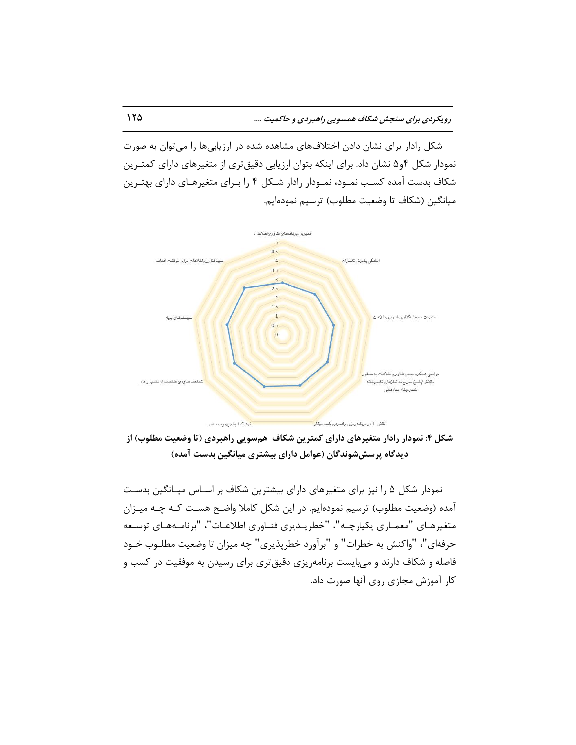شکل رادار برای نشان دادن اختلافهای مشاهده شده در ارزیابیها را می توان به صورت نمودار شکل ۴و۵ نشان داد. برای اینکه بتوان ارزیابی دقیقتری از متغیرهای دارای کمتـرین شکاف بدست آمده کسب نمـود، نمـودار رادار شـکل ۴ را بـرای متغیرهـای دارای بهتـرین میانگین (شکاف تا وضعیت مطلوب) ترسیم نمودهایم.



شکل ۴: نمودار رادار متغیرِهای دارای کمترین شکاف همسویی راهبردی (تا وضعیت مطلوب) از **زیسگاٌ پزسصضًوسگان )عًامل زارای تیطتزی میاوگیه تسست آمسٌ(**

نمودار شکل ۵ را نیز برای متغیرهای دارای بیشترین شکاف بر اسـاس میـانگین بدسـت آمده (وضعیت مطلوب) ترسیم نمودهایم. در این شکل کاملا واضح هست کـه چـه میـزان متغیرهـای "معمـاری یکپارچـه"، "خطرپـذیری فنـاوری اطلاعـات"، "برنامـههـای توسـعه حرفهای"، "واکنش به خطرات" و "برآورد خطرپذیری" چِه میزان تا وضعیت مطلـوب خـود فاصله و شكاف دارند و میبایست برنامهریزی دقیقتری برای رسیدن به موفقیت در كسب و كار آموزش مجازى روى آنها صورت داد.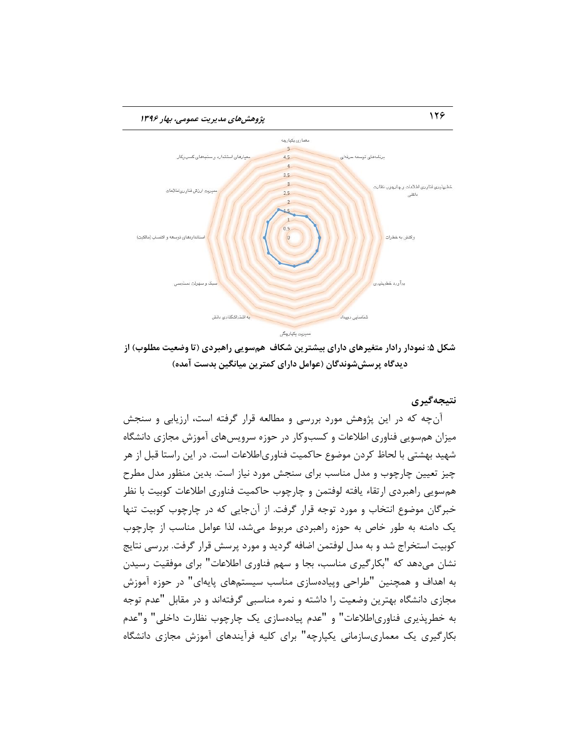

شکل ۵: نمودار رادار متغیرِهای دارای بیشترین شکاف همسویی راهبردی (تا وضعیت مطلوب) از **زیسگاٌ پزسصضًوسگان )عًامل زارای کمتزیه میاوگیه تسست آمسٌ(**

**وتیجٍگیزی**

آنچه که در این پژوهش مورد بررسی و مطالعه قرار گرفته است، ارزیابی و سنجش میزان همسویی فناوری اطلاعات و کسبوکار در حوزه سرویسهای آموزش مجازی دانشگاه شهید بهشتی با لحاظ کردن موضوع حاکمیت فناوریاطلاعات است. در این راستا قبل از هر چیز تعیین چارچوب و مدل مناسب برای سنجش مورد نیاز است. بدین منظور مدل مطرح هم سويي راهبردی ارتقاء یافته لوفتمن و چارچوب حاکمیت فناوری اطلاعات کوبیت با نظر خبرگان موضوع انتخاب و مورد توجه قرار گرفت. از آنجایی که در چارچوب کوبیت تنها یک دامنه به طور خاص به حوزه راهبردی مربوط می شد، لذا عوامل مناسب از چارچوب کوبیت استخراج شد و به مدل لوفتمن اضافه گردید و مورد پرسش قرار گرفت. بررسی نتایج نشان می۵هد که "بکارگیری مناسب، بجا و سهم فناوری اطلاعات" برای موفقیت رسیدن به اهداف و همچنین "طراحی وییادهسازی مناسب سیستمهای پایهای" در حوزه آموزش مجازی دانشگاه بهترین وضعیت را داشته و نمره مناسبی گرفتهاند و در مقابل "عدم توجه به خطرپذیری فناوریاطلاعات" و "عدم پیادهسازی یک چارچوب نظارت داخلی" و"عدم بکارگیری یک معماریسازمانی یکپارچه" برای کلیه فرآیندهای آموزش مجازی دانشگاه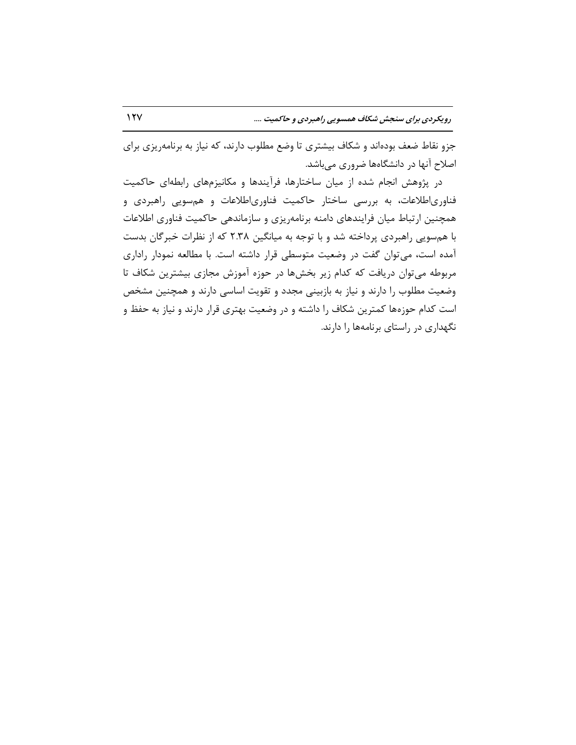جزو نقاط ضعف بودهاند و شکاف بیشتری تا وضع مطلوب دارند، که نیاز به برنامهریزی برای اصلاح آنها در دانشگاهها ضروری میباشد.

در پژوهش انجام شده از میان ساختارها، فرآیندها و مکانیزمهای رابطهای حاکمیت فناوریاطلاعات، به بررسی ساختار حاکمیت فناوریاطلاعات و همسویی راهبردی و همچنین ارتباط میان فرایندهای دامنه برنامهریزی و سازماندهی حاکمیت فناوری اطلاعات با هم سویی راهبردی پرداخته شد و با توجه به میانگین ۲.۳۸ که از نظرات خبرگان بدست آمده است، می توان گفت در وضعیت متوسطی قرار داشته است. با مطالعه نمودار راداری مربوطه میتوان دریافت که کدام زیر بخشها در حوزه آموزش مجازی بیشترین شکاف تا وضعیت مطلوب را دارند و نیاز به بازبینی مجدد و تقویت اساسی دارند و همچنین مشخص است کدام حوزهها کمترین شکاف را داشته و در وضعیت بهتری قرار دارند و نیاز به حفظ و نگهداری در راستای برنامهها را دارند.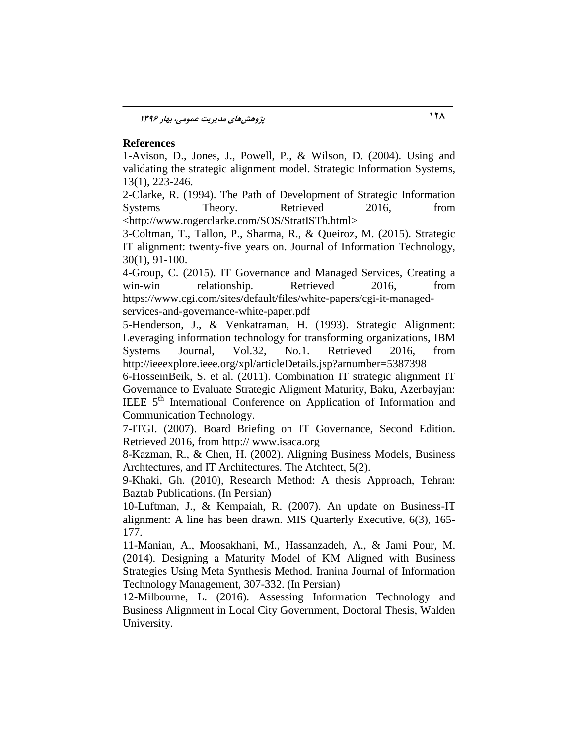### **References**

1-Avison, D., Jones, J., Powell, P., & Wilson, D. (2004). Using and validating the strategic alignment model. Strategic Information Systems, 13(1), 223-246.

2-Clarke, R. (1994). The Path of Development of Strategic Information Systems Theory. Retrieved 2016, from <http://www.rogerclarke.com/SOS/StratISTh.html>

3-Coltman, T., Tallon, P., Sharma, R., & Queiroz, M. (2015). Strategic IT alignment: twenty-five years on. Journal of Information Technology, 30(1), 91-100.

4-Group, C. (2015). IT Governance and Managed Services, Creating a win-win relationship. Retrieved 2016, from https://www.cgi.com/sites/default/files/white-papers/cgi-it-managedservices-and-governance-white-paper.pdf

5-Henderson, J., & Venkatraman, H. (1993). Strategic Alignment: Leveraging information technology for transforming organizations, IBM Systems Journal, Vol.32, No.1. Retrieved 2016, from http://ieeexplore.ieee.org/xpl/articleDetails.jsp?arnumber=5387398

6-HosseinBeik, S. et al. (2011). Combination IT strategic alignment IT Governance to Evaluate Strategic Aligment Maturity, Baku, Azerbayjan: IEEE  $5<sup>th</sup>$  International Conference on Application of Information and Communication Technology.

7-ITGI. (2007). Board Briefing on IT Governance, Second Edition. Retrieved 2016, from http:// www.isaca.org

8-Kazman, R., & Chen, H. (2002). Aligning Business Models, Business Archtectures, and IT Architectures. The Atchtect, 5(2).

9-Khaki, Gh. (2010), Research Method: A thesis Approach, Tehran: Baztab Publications. (In Persian)

10-Luftman, J., & Kempaiah, R. (2007). An update on Business-IT alignment: A line has been drawn. MIS Quarterly Executive, 6(3), 165- 177.

11-Manian, A., Moosakhani, M., Hassanzadeh, A., & Jami Pour, M. (2014). Designing a Maturity Model of KM Aligned with Business Strategies Using Meta Synthesis Method. Iranina Journal of Information Technology Management, 307-332. (In Persian)

12-Milbourne, L. (2016). Assessing Information Technology and Business Alignment in Local City Government, Doctoral Thesis, Walden University.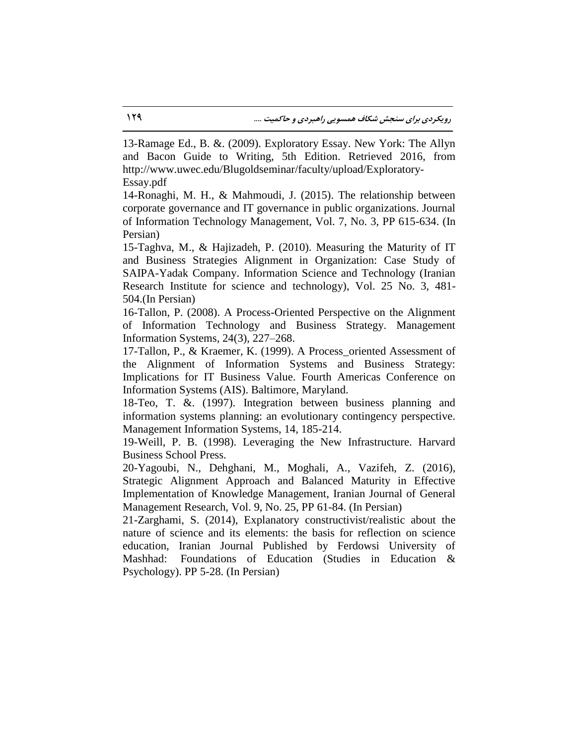13-Ramage Ed., B. &. (2009). Exploratory Essay. New York: The Allyn and Bacon Guide to Writing, 5th Edition. Retrieved 2016, from http://www.uwec.edu/Blugoldseminar/faculty/upload/Exploratory-Essay.pdf

14-Ronaghi, M. H., & Mahmoudi, J. (2015). The relationship between corporate governance and IT governance in public organizations. Journal of Information Technology Management, Vol. 7, No. 3, PP 615-634. (In Persian)

15-Taghva, M., & Hajizadeh, P. (2010). Measuring the Maturity of IT and Business Strategies Alignment in Organization: Case Study of SAIPA-Yadak Company. Information Science and Technology (Iranian Research Institute for science and technology), Vol. 25 No. 3, 481- 504.(In Persian)

16-Tallon, P. (2008). A Process-Oriented Perspective on the Alignment of Information Technology and Business Strategy. Management Information Systems, 24(3), 227–268.

17-Tallon, P., & Kraemer, K. (1999). A Process\_oriented Assessment of the Alignment of Information Systems and Business Strategy: Implications for IT Business Value. Fourth Americas Conference on Information Systems (AIS). Baltimore, Maryland.

18-Teo, T. &. (1997). Integration between business planning and information systems planning: an evolutionary contingency perspective. Management Information Systems, 14, 185-214.

19-Weill, P. B. (1998). Leveraging the New Infrastructure. Harvard Business School Press.

20-Yagoubi, N., Dehghani, M., Moghali, A., Vazifeh, Z. (2016), Strategic Alignment Approach and Balanced Maturity in Effective Implementation of Knowledge Management, Iranian Journal of General Management Research, Vol. 9, No. 25, PP 61-84. (In Persian)

21-Zarghami, S. (2014), Explanatory constructivist/realistic about the nature of science and its elements: the basis for reflection on science education, Iranian Journal Published by Ferdowsi University of Mashhad: Foundations of Education (Studies in Education & Psychology). PP 5-28. (In Persian)